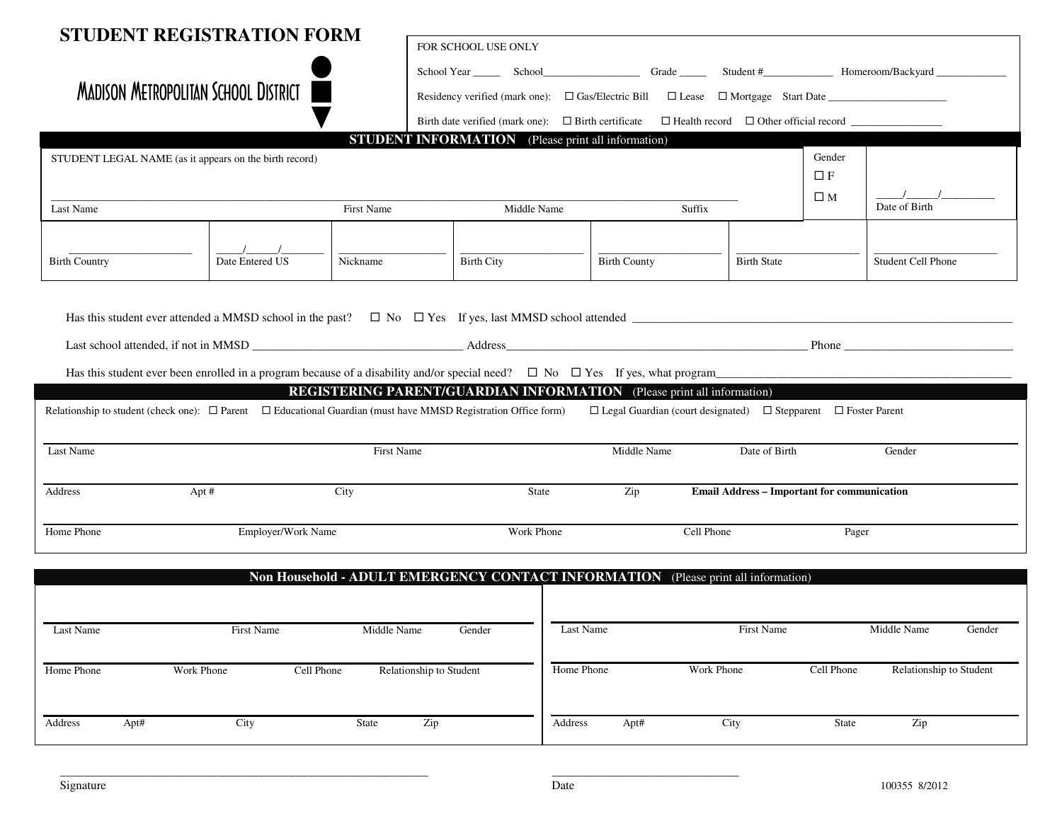|                                                                                                                          | <b>STUDENT REGISTRATION FORM</b>            |                         |                                                           |                                                                                    |                                                          |             |                           |        |
|--------------------------------------------------------------------------------------------------------------------------|---------------------------------------------|-------------------------|-----------------------------------------------------------|------------------------------------------------------------------------------------|----------------------------------------------------------|-------------|---------------------------|--------|
|                                                                                                                          |                                             |                         | FOR SCHOOL USE ONLY                                       |                                                                                    |                                                          |             |                           |        |
|                                                                                                                          |                                             |                         |                                                           |                                                                                    |                                                          |             |                           |        |
|                                                                                                                          | <b>MADISON METROPOLITAN SCHOOL DISTRICT</b> |                         |                                                           |                                                                                    |                                                          |             |                           |        |
|                                                                                                                          |                                             |                         | Birth date verified (mark one): $\Box$ Birth certificate  |                                                                                    | $\Box$ Health record $\Box$ Other official record $\Box$ |             |                           |        |
|                                                                                                                          |                                             |                         | <b>STUDENT INFORMATION</b> (Please print all information) |                                                                                    |                                                          |             |                           |        |
| STUDENT LEGAL NAME (as it appears on the birth record)                                                                   |                                             |                         |                                                           |                                                                                    |                                                          | Gender      |                           |        |
|                                                                                                                          |                                             |                         |                                                           |                                                                                    |                                                          | $\Box F$    |                           |        |
|                                                                                                                          |                                             |                         |                                                           |                                                                                    |                                                          | $\square$ M | Date of Birth             |        |
| Last Name                                                                                                                |                                             | First Name              | Middle Name                                               | Suffix                                                                             |                                                          |             |                           |        |
|                                                                                                                          |                                             |                         |                                                           |                                                                                    |                                                          |             |                           |        |
| <b>Birth Country</b>                                                                                                     | Date Entered US                             | Nickname                | <b>Birth City</b>                                         | <b>Birth County</b>                                                                | <b>Birth State</b>                                       |             | <b>Student Cell Phone</b> |        |
|                                                                                                                          |                                             |                         |                                                           |                                                                                    |                                                          |             |                           |        |
|                                                                                                                          |                                             |                         |                                                           |                                                                                    |                                                          |             |                           |        |
|                                                                                                                          |                                             |                         |                                                           |                                                                                    |                                                          |             |                           |        |
|                                                                                                                          |                                             |                         |                                                           |                                                                                    |                                                          |             |                           |        |
|                                                                                                                          |                                             |                         |                                                           |                                                                                    |                                                          |             |                           |        |
|                                                                                                                          |                                             |                         |                                                           | <b>REGISTERING PARENT/GUARDIAN INFORMATION</b> (Please print all information)      |                                                          |             |                           |        |
| Relationship to student (check one): $\Box$ Parent $\Box$ Educational Guardian (must have MMSD Registration Office form) |                                             |                         |                                                           | $\Box$ Legal Guardian (court designated) $\Box$ Stepparent $\Box$ Foster Parent    |                                                          |             |                           |        |
|                                                                                                                          |                                             |                         |                                                           |                                                                                    |                                                          |             |                           |        |
| Last Name                                                                                                                |                                             | <b>First Name</b>       |                                                           | Middle Name                                                                        | Date of Birth                                            |             | Gender                    |        |
|                                                                                                                          |                                             |                         |                                                           |                                                                                    |                                                          |             |                           |        |
| Address                                                                                                                  | Apt #                                       | City                    | <b>State</b>                                              | Zip                                                                                | <b>Email Address - Important for communication</b>       |             |                           |        |
|                                                                                                                          |                                             |                         |                                                           |                                                                                    |                                                          |             |                           |        |
| Home Phone                                                                                                               | Employer/Work Name                          |                         | Work Phone                                                |                                                                                    | Cell Phone                                               | Pager       |                           |        |
|                                                                                                                          |                                             |                         |                                                           |                                                                                    |                                                          |             |                           |        |
|                                                                                                                          |                                             |                         |                                                           | Non Household - ADULT EMERGENCY CONTACT INFORMATION (Please print all information) |                                                          |             |                           |        |
|                                                                                                                          |                                             |                         |                                                           |                                                                                    |                                                          |             |                           |        |
| Last Name                                                                                                                | First Name                                  | Middle Name             | Gender                                                    | Last Name                                                                          | First Name                                               |             | Middle Name               | Gender |
|                                                                                                                          |                                             |                         |                                                           |                                                                                    |                                                          |             |                           |        |
| Home Phone                                                                                                               | Work Phone<br>Cell Phone                    | Relationship to Student |                                                           | Home Phone                                                                         | Work Phone                                               | Cell Phone  | Relationship to Student   |        |
|                                                                                                                          |                                             |                         |                                                           |                                                                                    |                                                          |             |                           |        |
|                                                                                                                          |                                             |                         |                                                           |                                                                                    |                                                          |             |                           |        |
| Address                                                                                                                  |                                             | Zip                     |                                                           | Address<br>Apt#                                                                    | City                                                     | State       | Zip                       |        |

\_\_\_\_\_\_\_\_\_\_\_\_\_\_\_\_\_\_\_\_\_\_\_\_\_\_\_\_\_\_\_\_\_\_\_\_\_\_\_\_\_\_\_\_\_\_\_\_\_\_\_\_\_\_\_\_\_\_\_\_\_ \_\_\_\_\_\_\_\_\_\_\_\_\_\_\_\_\_\_\_\_\_\_\_\_\_\_\_\_\_\_\_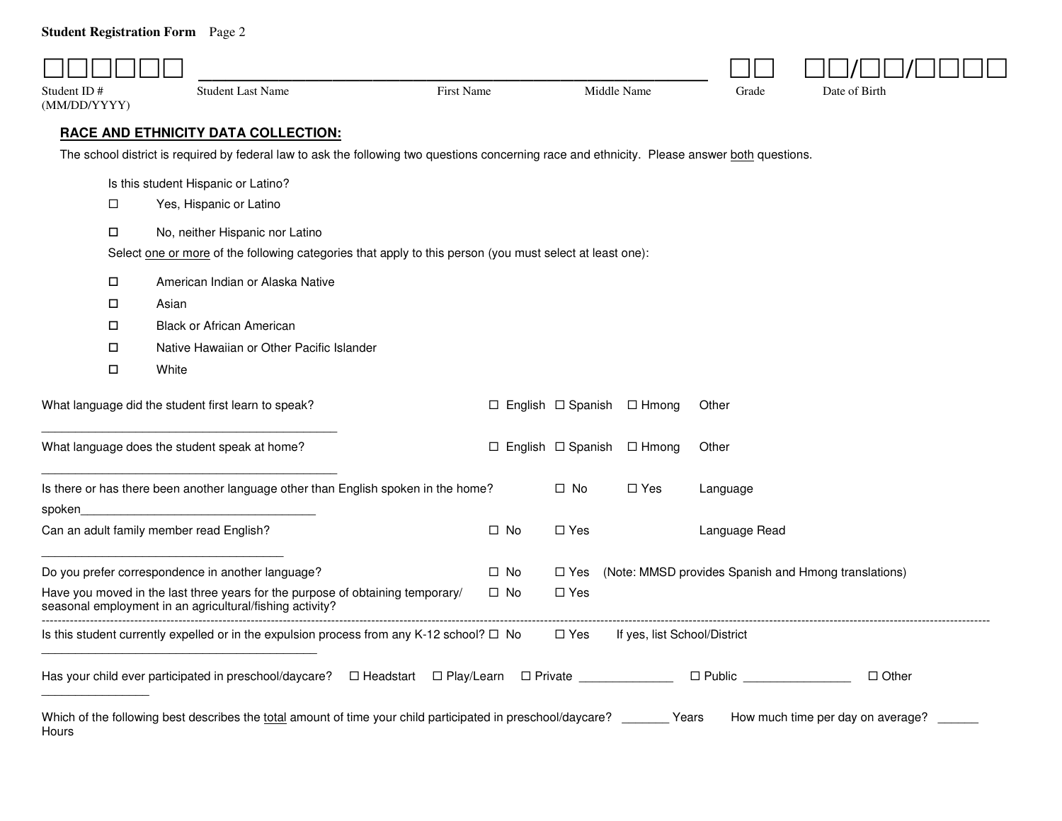## **Student Registration Form** Page 2

| Student ID#<br>(MM/DD/YYYY) | <b>Student Last Name</b>                                                                                                                       | <b>First Name</b> |              | Middle Name                      |                              | Grade                      | Date of Birth                                        |
|-----------------------------|------------------------------------------------------------------------------------------------------------------------------------------------|-------------------|--------------|----------------------------------|------------------------------|----------------------------|------------------------------------------------------|
|                             | <b>RACE AND ETHNICITY DATA COLLECTION:</b>                                                                                                     |                   |              |                                  |                              |                            |                                                      |
|                             | The school district is required by federal law to ask the following two questions concerning race and ethnicity. Please answer both questions. |                   |              |                                  |                              |                            |                                                      |
|                             | Is this student Hispanic or Latino?                                                                                                            |                   |              |                                  |                              |                            |                                                      |
| □                           | Yes, Hispanic or Latino                                                                                                                        |                   |              |                                  |                              |                            |                                                      |
| □                           | No, neither Hispanic nor Latino                                                                                                                |                   |              |                                  |                              |                            |                                                      |
|                             | Select one or more of the following categories that apply to this person (you must select at least one):                                       |                   |              |                                  |                              |                            |                                                      |
| □                           | American Indian or Alaska Native                                                                                                               |                   |              |                                  |                              |                            |                                                      |
| $\Box$                      | Asian                                                                                                                                          |                   |              |                                  |                              |                            |                                                      |
| $\Box$                      | <b>Black or African American</b>                                                                                                               |                   |              |                                  |                              |                            |                                                      |
| □                           | Native Hawaiian or Other Pacific Islander                                                                                                      |                   |              |                                  |                              |                            |                                                      |
| $\Box$                      | White                                                                                                                                          |                   |              |                                  |                              |                            |                                                      |
|                             | What language did the student first learn to speak?                                                                                            |                   |              | $\Box$ English $\Box$ Spanish    | $\Box$ Hmong                 | Other                      |                                                      |
|                             | What language does the student speak at home?                                                                                                  |                   |              | $\Box$ English $\Box$ Spanish    | $\Box$ Hmong                 | Other                      |                                                      |
|                             | Is there or has there been another language other than English spoken in the home?                                                             |                   |              | $\Box$ No                        | $\Box$ Yes                   | Language                   |                                                      |
| spoken                      | Can an adult family member read English?                                                                                                       |                   | $\Box$ No    | $\Box$ Yes                       |                              | Language Read              |                                                      |
|                             | Do you prefer correspondence in another language?                                                                                              |                   | $\Box$ No    | □ Yes                            |                              |                            | (Note: MMSD provides Spanish and Hmong translations) |
|                             | Have you moved in the last three years for the purpose of obtaining temporary/<br>seasonal employment in an agricultural/fishing activity?     |                   | $\square$ No | $\Box$ Yes                       |                              |                            |                                                      |
|                             | Is this student currently expelled or in the expulsion process from any K-12 school? $\Box$ No                                                 |                   |              | $\Box$ Yes                       | If yes, list School/District |                            |                                                      |
|                             |                                                                                                                                                |                   |              | $\Box$ Play/Learn $\Box$ Private |                              | $\square$ Public $\square$ | $\Box$ Other                                         |
| Hours                       | Which of the following best describes the total amount of time your child participated in preschool/daycare? ________ Years                    |                   |              |                                  |                              |                            | How much time per day on average?                    |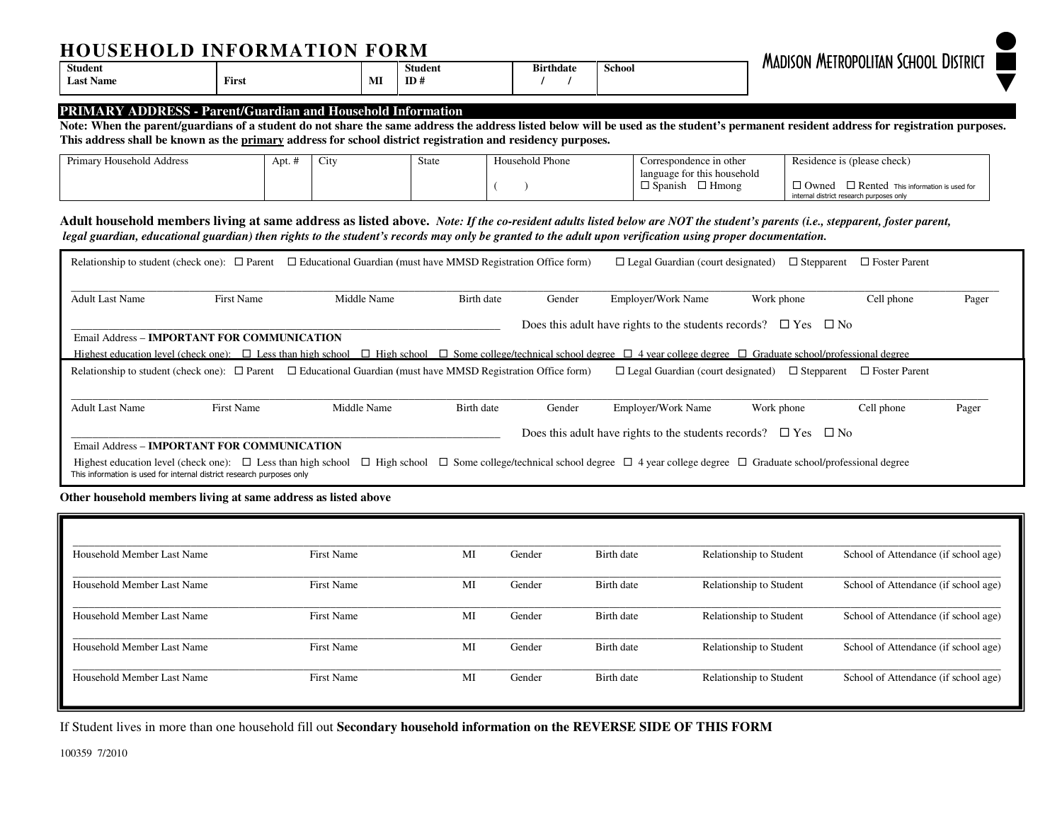## **HOUSEHOLD INFORMATION FORM**

| <b>HOUSEHOLD</b> | INFORMA<br>TIAN<br>FORM |    |                |                  |        |                                             |  |  |  |
|------------------|-------------------------|----|----------------|------------------|--------|---------------------------------------------|--|--|--|
| <b>Student</b>   |                         |    | <b>Student</b> | <b>Birthdate</b> | School | <b>MADISON METROPOLITAN SCHOOL DISTRICT</b> |  |  |  |
| <b>Last Name</b> | First                   | MI | $ID+$          |                  |        |                                             |  |  |  |

#### **PRIMARY ADDRESS - Parent/Guardian and Household Information**

 **Note: When the parent/guardians of a student do not share the same address the address listed below will be used as the student's permanent resident address for registration purposes. This address shall be known as the primary address for school district registration and residency purposes.** 

| Primary<br>rv Household Address | Apt. $\cdot$ | $\sim$<br>$\mathbf{C1}$ | State | Household Phone | Correspondence in other                                       | Residence is (please check)                                |
|---------------------------------|--------------|-------------------------|-------|-----------------|---------------------------------------------------------------|------------------------------------------------------------|
|                                 |              |                         |       |                 | language for this household<br>$\Box$ Hmong<br>$\Box$ Spanish | $\Box$ Rented This information is used for<br>$\Box$ Owned |
|                                 |              |                         |       |                 |                                                               | internal district research purposes only                   |

**Adult household members living at same address as listed above.** *Note: If the co-resident adults listed below are NOT the student's parents (i.e., stepparent, foster parent, legal guardian, educational guardian) then rights to the student's records may only be granted to the adult upon verification using proper documentation.*

| Relationship to student (check one): $\Box$ Parent                                                                                         |                   | $\Box$ Educational Guardian (must have MMSD Registration Office form)                                                                                                                                    |            |        | $\Box$ Legal Guardian (court designated)                                                                                               | $\Box$ Stepparent | $\Box$ Foster Parent                   |       |
|--------------------------------------------------------------------------------------------------------------------------------------------|-------------------|----------------------------------------------------------------------------------------------------------------------------------------------------------------------------------------------------------|------------|--------|----------------------------------------------------------------------------------------------------------------------------------------|-------------------|----------------------------------------|-------|
|                                                                                                                                            |                   |                                                                                                                                                                                                          |            |        |                                                                                                                                        |                   |                                        |       |
| Adult Last Name                                                                                                                            | <b>First Name</b> | Middle Name                                                                                                                                                                                              | Birth date | Gender | <b>Employer/Work Name</b>                                                                                                              | Work phone        | Cell phone                             | Pager |
| <b>Email Address - IMPORTANT FOR COMMUNICATION</b>                                                                                         |                   |                                                                                                                                                                                                          |            |        | Does this adult have rights to the students records? $\Box$ Yes $\Box$ No                                                              |                   |                                        |       |
|                                                                                                                                            |                   |                                                                                                                                                                                                          |            |        |                                                                                                                                        |                   |                                        |       |
|                                                                                                                                            |                   | Highest education level (check one): $\Box$ Less than high school $\Box$ High school $\Box$ Some college/technical school degree $\Box$ 4 year college degree $\Box$ Graduate school/professional degree |            |        |                                                                                                                                        |                   |                                        |       |
|                                                                                                                                            |                   | Relationship to student (check one): $\Box$ Parent $\Box$ Educational Guardian (must have MMSD Registration Office form)                                                                                 |            |        | $\Box$ Legal Guardian (court designated)                                                                                               |                   | $\Box$ Stepparent $\Box$ Foster Parent |       |
|                                                                                                                                            |                   |                                                                                                                                                                                                          |            |        |                                                                                                                                        |                   |                                        |       |
| <b>Adult Last Name</b>                                                                                                                     | <b>First Name</b> | Middle Name                                                                                                                                                                                              | Birth date | Gender | <b>Employer/Work Name</b>                                                                                                              | Work phone        | Cell phone                             | Pager |
|                                                                                                                                            |                   |                                                                                                                                                                                                          |            |        |                                                                                                                                        |                   |                                        |       |
|                                                                                                                                            |                   |                                                                                                                                                                                                          |            |        | Does this adult have rights to the students records? $\Box$ Yes $\Box$ No                                                              |                   |                                        |       |
| Email Address - IMPORTANT FOR COMMUNICATION                                                                                                |                   |                                                                                                                                                                                                          |            |        |                                                                                                                                        |                   |                                        |       |
| Highest education level (check one): $\Box$ Less than high school<br>This information is used for internal district research purposes only |                   |                                                                                                                                                                                                          |            |        | $\Box$ High school $\Box$ Some college/technical school degree $\Box$ 4 year college degree $\Box$ Graduate school/professional degree |                   |                                        |       |

**Other household members living at same address as listed above**

| Household Member Last Name | <b>First Name</b> | MI | Gender | Birth date | Relationship to Student | School of Attendance (if school age) |
|----------------------------|-------------------|----|--------|------------|-------------------------|--------------------------------------|
| Household Member Last Name | First Name        | MI | Gender | Birth date | Relationship to Student | School of Attendance (if school age) |
| Household Member Last Name | First Name        | MI | Gender | Birth date | Relationship to Student | School of Attendance (if school age) |
| Household Member Last Name | First Name        | MI | Gender | Birth date | Relationship to Student | School of Attendance (if school age) |
| Household Member Last Name | <b>First Name</b> | MI | Gender | Birth date | Relationship to Student | School of Attendance (if school age) |

If Student lives in more than one household fill out **Secondary household information on the REVERSE SIDE OF THIS FORM**